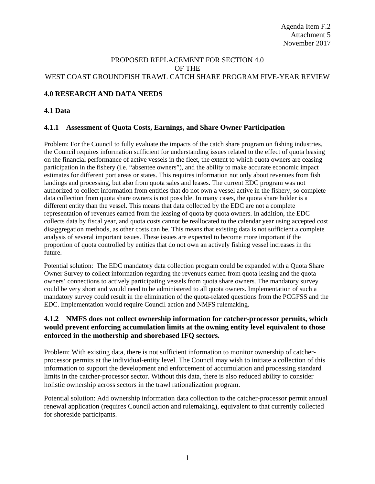### PROPOSED REPLACEMENT FOR SECTION 4.0 OF THE WEST COAST GROUNDFISH TRAWL CATCH SHARE PROGRAM FIVE-YEAR REVIEW

## **4.0 RESEARCH AND DATA NEEDS**

### **4.1 Data**

### **4.1.1 Assessment of Quota Costs, Earnings, and Share Owner Participation**

Problem: For the Council to fully evaluate the impacts of the catch share program on fishing industries, the Council requires information sufficient for understanding issues related to the effect of quota leasing on the financial performance of active vessels in the fleet, the extent to which quota owners are ceasing participation in the fishery (i.e. "absentee owners"), and the ability to make accurate economic impact estimates for different port areas or states. This requires information not only about revenues from fish landings and processing, but also from quota sales and leases. The current EDC program was not authorized to collect information from entities that do not own a vessel active in the fishery, so complete data collection from quota share owners is not possible. In many cases, the quota share holder is a different entity than the vessel. This means that data collected by the EDC are not a complete representation of revenues earned from the leasing of quota by quota owners. In addition, the EDC collects data by fiscal year, and quota costs cannot be reallocated to the calendar year using accepted cost disaggregation methods, as other costs can be. This means that existing data is not sufficient a complete analysis of several important issues. These issues are expected to become more important if the proportion of quota controlled by entities that do not own an actively fishing vessel increases in the future.

Potential solution: The EDC mandatory data collection program could be expanded with a Quota Share Owner Survey to collect information regarding the revenues earned from quota leasing and the quota owners' connections to actively participating vessels from quota share owners. The mandatory survey could be very short and would need to be administered to all quota owners. Implementation of such a mandatory survey could result in the elimination of the quota-related questions from the PCGFSS and the EDC. Implementation would require Council action and NMFS rulemaking.

## **4.1.2 NMFS does not collect ownership information for catcher-processor permits, which would prevent enforcing accumulation limits at the owning entity level equivalent to those enforced in the mothership and shorebased IFQ sectors.**

Problem: With existing data, there is not sufficient information to monitor ownership of catcherprocessor permits at the individual-entity level. The Council may wish to initiate a collection of this information to support the development and enforcement of accumulation and processing standard limits in the catcher-processor sector. Without this data, there is also reduced ability to consider holistic ownership across sectors in the trawl rationalization program.

Potential solution: Add ownership information data collection to the catcher-processor permit annual renewal application (requires Council action and rulemaking), equivalent to that currently collected for shoreside participants.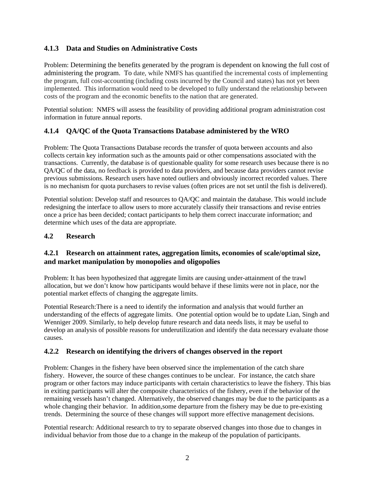# **4.1.3 Data and Studies on Administrative Costs**

Problem: Determining the benefits generated by the program is dependent on knowing the full cost of administering the program. To date, while NMFS has quantified the incremental costs of implementing the program, full cost-accounting (including costs incurred by the Council and states) has not yet been implemented. This information would need to be developed to fully understand the relationship between costs of the program and the economic benefits to the nation that are generated.

Potential solution: NMFS will assess the feasibility of providing additional program administration cost information in future annual reports.

# **4.1.4 QA/QC of the Quota Transactions Database administered by the WRO**

Problem: The Quota Transactions Database records the transfer of quota between accounts and also collects certain key information such as the amounts paid or other compensations associated with the transactions. Currently, the database is of questionable quality for some research uses because there is no QA/QC of the data, no feedback is provided to data providers, and because data providers cannot revise previous submissions. Research users have noted outliers and obviously incorrect recorded values. There is no mechanism for quota purchasers to revise values (often prices are not set until the fish is delivered).

Potential solution: Develop staff and resources to QA/QC and maintain the database. This would include redesigning the interface to allow users to more accurately classify their transactions and revise entries once a price has been decided; contact participants to help them correct inaccurate information; and determine which uses of the data are appropriate.

# **4.2 Research**

## **4.2.1 Research on attainment rates, aggregation limits, economies of scale/optimal size, and market manipulation by monopolies and oligopolies**

Problem: It has been hypothesized that aggregate limits are causing under-attainment of the trawl allocation, but we don't know how participants would behave if these limits were not in place, nor the potential market effects of changing the aggregate limits.

Potential Research:There is a need to identify the information and analysis that would further an understanding of the effects of aggregate limits. One potential option would be to update Lian, Singh and Wenniger 2009. Similarly, to help develop future research and data needs lists, it may be useful to develop an analysis of possible reasons for underutilization and identify the data necessary evaluate those causes.

# **4.2.2 Research on identifying the drivers of changes observed in the report**

Problem: Changes in the fishery have been observed since the implementation of the catch share fishery. However, the source of these changes continues to be unclear. For instance, the catch share program or other factors may induce participants with certain characteristics to leave the fishery. This bias in exiting participants will alter the composite characteristics of the fishery, even if the behavior of the remaining vessels hasn't changed. Alternatively, the observed changes may be due to the participants as a whole changing their behavior. In addition,some departure from the fishery may be due to pre-existing trends. Determining the source of these changes will support more effective management decisions.

Potential research: Additional research to try to separate observed changes into those due to changes in individual behavior from those due to a change in the makeup of the population of participants.